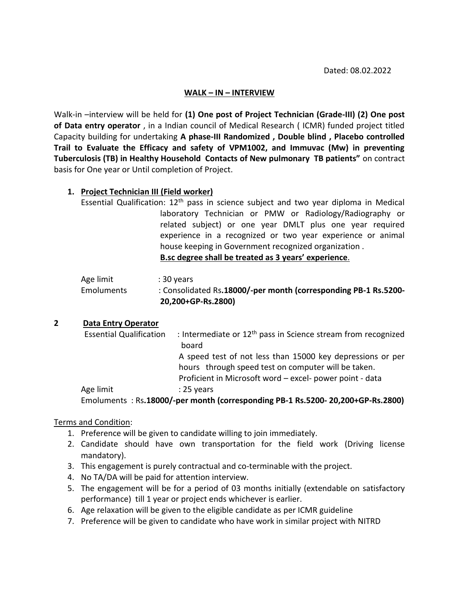## **WALK – IN – INTERVIEW**

Walk-in –interview will be held for **(1) One post of Project Technician (Grade-III) (2) One post of Data entry operator** , in a Indian council of Medical Research ( ICMR) funded project titled Capacity building for undertaking **A phase-III Randomized , Double blind , Placebo controlled Trail to Evaluate the Efficacy and safety of VPM1002, and Immuvac (Mw) in preventing Tuberculosis (TB) in Healthy Household Contacts of New pulmonary TB patients"** on contract basis for One year or Until completion of Project.

## **1. Project Technician III (Field worker)**

Essential Qualification:  $12<sup>th</sup>$  pass in science subject and two year diploma in Medical laboratory Technician or PMW or Radiology/Radiography or related subject) or one year DMLT plus one year required experience in a recognized or two year experience or animal house keeping in Government recognized organization . **B.sc degree shall be treated as 3 years' experience**.

|            | 20,200+GP-Rs.2800)                                              |
|------------|-----------------------------------------------------------------|
| Emoluments | : Consolidated Rs.18000/-per month (corresponding PB-1 Rs.5200- |
| Age limit  | : 30 vears                                                      |
|            |                                                                 |

## **2 Data Entry Operator**

| <b>Essential Qualification</b> | : Intermediate or 12 <sup>th</sup> pass in Science stream from recognized      |
|--------------------------------|--------------------------------------------------------------------------------|
|                                | board                                                                          |
|                                | A speed test of not less than 15000 key depressions or per                     |
|                                | hours through speed test on computer will be taken.                            |
|                                | Proficient in Microsoft word - excel- power point - data                       |
| Age limit                      | $: 25$ years                                                                   |
|                                | Emoluments: Rs.18000/-per month (corresponding PB-1 Rs.5200-20,200+GP-Rs.2800) |

## Terms and Condition:

- 1. Preference will be given to candidate willing to join immediately.
- 2. Candidate should have own transportation for the field work (Driving license mandatory).
- 3. This engagement is purely contractual and co-terminable with the project.
- 4. No TA/DA will be paid for attention interview.
- 5. The engagement will be for a period of 03 months initially (extendable on satisfactory performance) till 1 year or project ends whichever is earlier.
- 6. Age relaxation will be given to the eligible candidate as per ICMR guideline
- 7. Preference will be given to candidate who have work in similar project with NITRD